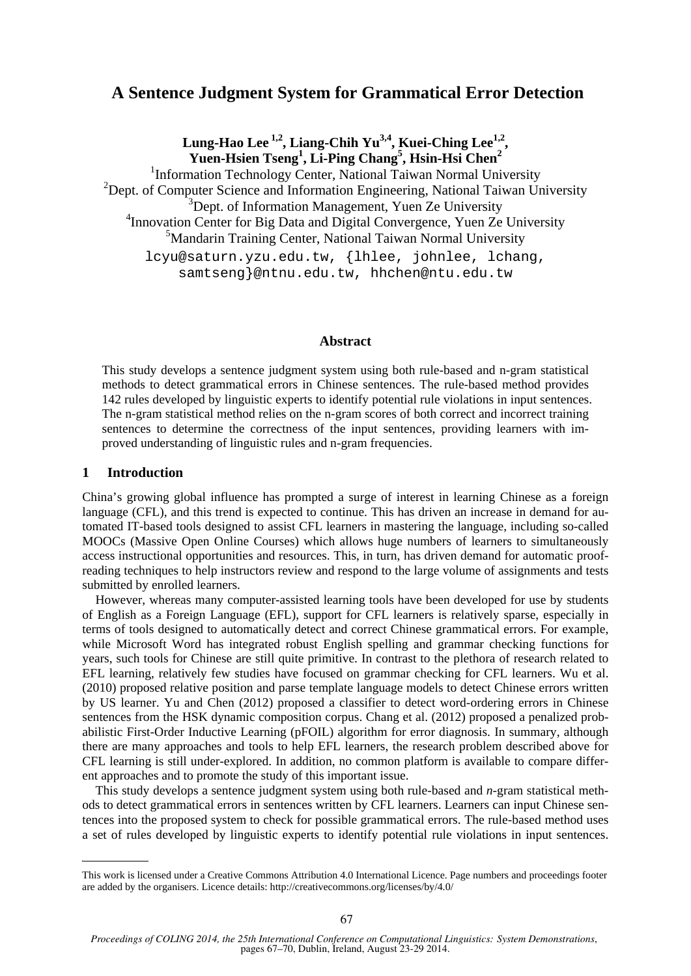# **A Sentence Judgment System for Grammatical Error Detection**

Lung-Hao Lee<sup>1,2</sup>, Liang-Chih Yu<sup>3,4</sup>, Kuei-Ching Lee<sup>1,2</sup>, **Yuen-Hsien Tseng<sup>1</sup> , Li-Ping Chang<sup>5</sup> , Hsin-Hsi Chen2** <sup>1</sup>Information Technology Center, National Taiwan Normal University <sup>2</sup>Dept. of Computer Science and Information Engineering, National Taiwan University <sup>3</sup>Dept. of Information Management, Yuen Ze University <sup>4</sup> Innovation Center for Big Data and Digital Convergence, Yuen Ze University 5 Mandarin Training Center, National Taiwan Normal University lcyu@saturn.yzu.edu.tw, {lhlee, johnlee, lchang, samtseng}@ntnu.edu.tw, hhchen@ntu.edu.tw

### **Abstract**

This study develops a sentence judgment system using both rule-based and n-gram statistical methods to detect grammatical errors in Chinese sentences. The rule-based method provides 142 rules developed by linguistic experts to identify potential rule violations in input sentences. The n-gram statistical method relies on the n-gram scores of both correct and incorrect training sentences to determine the correctness of the input sentences, providing learners with improved understanding of linguistic rules and n-gram frequencies.

# **1 Introduction**

China's growing global influence has prompted a surge of interest in learning Chinese as a foreign language (CFL), and this trend is expected to continue. This has driven an increase in demand for automated IT-based tools designed to assist CFL learners in mastering the language, including so-called MOOCs (Massive Open Online Courses) which allows huge numbers of learners to simultaneously access instructional opportunities and resources. This, in turn, has driven demand for automatic proofreading techniques to help instructors review and respond to the large volume of assignments and tests submitted by enrolled learners.

However, whereas many computer-assisted learning tools have been developed for use by students of English as a Foreign Language (EFL), support for CFL learners is relatively sparse, especially in terms of tools designed to automatically detect and correct Chinese grammatical errors. For example, while Microsoft Word has integrated robust English spelling and grammar checking functions for years, such tools for Chinese are still quite primitive. In contrast to the plethora of research related to EFL learning, relatively few studies have focused on grammar checking for CFL learners. Wu et al. (2010) proposed relative position and parse template language models to detect Chinese errors written by US learner. Yu and Chen (2012) proposed a classifier to detect word-ordering errors in Chinese sentences from the HSK dynamic composition corpus. Chang et al. (2012) proposed a penalized probabilistic First-Order Inductive Learning (pFOIL) algorithm for error diagnosis. In summary, although there are many approaches and tools to help EFL learners, the research problem described above for CFL learning is still under-explored. In addition, no common platform is available to compare different approaches and to promote the study of this important issue.

This study develops a sentence judgment system using both rule-based and *n*-gram statistical methods to detect grammatical errors in sentences written by CFL learners. Learners can input Chinese sentences into the proposed system to check for possible grammatical errors. The rule-based method uses a set of rules developed by linguistic experts to identify potential rule violations in input sentences.

This work is licensed under a Creative Commons Attribution 4.0 International Licence. Page numbers and proceedings footer are added by the organisers. Licence details: http://creativecommons.org/licenses/by/4.0/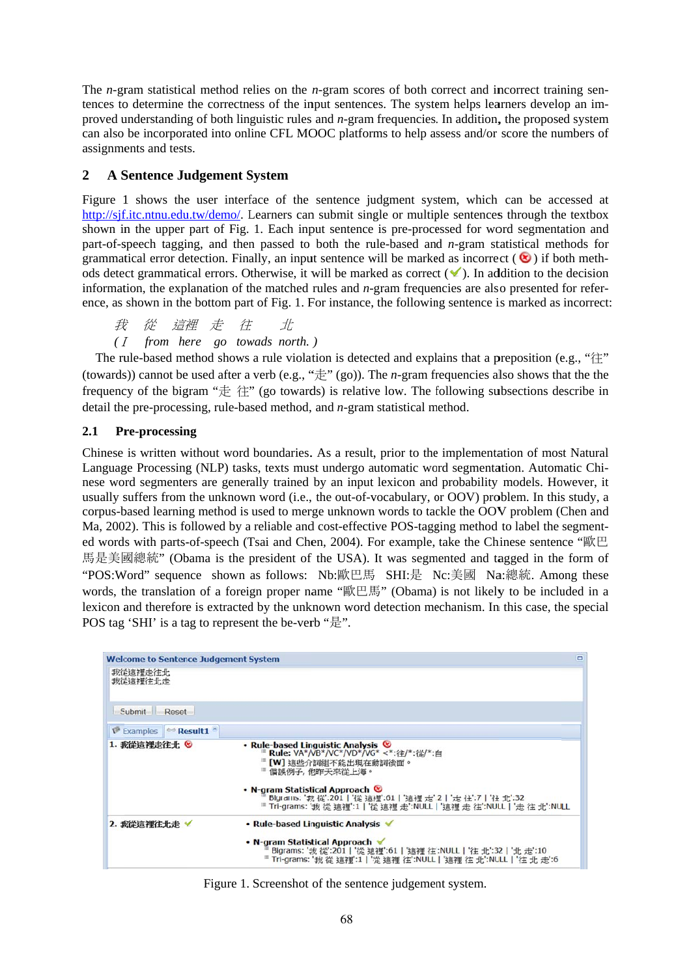The *n*-gram statistical method relies on the *n*-gram scores of both correct and incorrect training sentences to determine the correctness of the input sentences. The system helps learners develop an improved understanding of both linguistic rules and  $n$ -gram frequencies. In addition, the proposed system can also be incorporated into online CFL MOOC platforms to help assess and/or score the numbers of assignments and tests.

#### $\overline{2}$ **A Sentence Judgement System**

Figure 1 shows the user interface of the sentence judgment system, which can be accessed at http://sif.itc.ntnu.edu.tw/demo/. Learners can submit single or multiple sentences through the textbox shown in the upper part of Fig. 1. Each input sentence is pre-processed for word segmentation and part-of-speech tagging, and then passed to both the rule-based and  $n$ -gram statistical methods for grammatical error detection. Finally, an input sentence will be marked as incorrect  $(\bullet)$  if both methods detect grammatical errors. Otherwise, it will be marked as correct  $(\checkmark)$ . In addition to the decision information, the explanation of the matched rules and  $n$ -gram frequencies are also presented for reference, as shown in the bottom part of Fig. 1. For instance, the following sentence is marked as incorrect:

我 從 這裡 走 往  $\pm$ (*I* from here go towads north.)

The rule-based method shows a rule violation is detected and explains that a preposition (e.g., " $\hat{\mathcal{L}}$ " (towards)) cannot be used after a verb (e.g., " $\#$ " (go)). The *n*-gram frequencies also shows that the the frequency of the bigram " $\#$   $\#$ " (go towards) is relative low. The following subsections describe in detail the pre-processing, rule-based method, and *n*-gram statistical method.

#### $2.1$ Pre-processing

Chinese is written without word boundaries. As a result, prior to the implementation of most Natural Language Processing (NLP) tasks, texts must undergo automatic word segmentation. Automatic Chinese word segmenters are generally trained by an input lexicon and probability models. However, it usually suffers from the unknown word (i.e., the out-of-vocabulary, or OOV) problem. In this study, a corpus-based learning method is used to merge unknown words to tackle the OOV problem (Chen and Ma, 2002). This is followed by a reliable and cost-effective POS-tagging method to label the segmented words with parts-of-speech (Tsai and Chen, 2004). For example, take the Chinese sentence "歐巴 馬是美國總統" (Obama is the president of the USA). It was segmented and tagged in the form of "POS:Word" sequence shown as follows: Nb:歐巴馬 SHI:是 Nc:美國 Na:總統. Among these words, the translation of a foreign proper name "歐巴馬" (Obama) is not likely to be included in a lexicon and therefore is extracted by the unknown word detection mechanism. In this case, the special POS tag 'SHI' is a tag to represent the be-verb "是".

| <b>Welcome to Sentence Judgement System</b>    | Ξ                                                                                                                                                                                                                                                                                                             |
|------------------------------------------------|---------------------------------------------------------------------------------------------------------------------------------------------------------------------------------------------------------------------------------------------------------------------------------------------------------------|
| 我從這裡走往北<br>我從這裡往北走                             |                                                                                                                                                                                                                                                                                                               |
| Submit Reset                                   |                                                                                                                                                                                                                                                                                                               |
| <b>V</b> Examples $\approx$ <b>Result1</b> $*$ |                                                                                                                                                                                                                                                                                                               |
| 1. 我從這裡走往北 8                                   | • Rule-based Linguistic Analysis <sup>©</sup><br>■ Rule: VA*/VB*/VC*/VD*/VG* <*:往/*:從/*:自<br>[W] 這些介詞組不能出現在動詞後面。<br>■ 偏誤例子, 他昨天來從上海。<br>• N-gram Statistical Approach &<br>Bigrams: '我 從':201   '從 這裡':61   '這裡 走':2   '走 往':7   '往 北':32<br>■ Tri-grams: '我 從 這裡':1 '從 這裡 走':NULL '這裡 走 往':NULL '走 往 北':NULL |
| 2. 我從這裡往北走 ✔                                   | • Rule-based Linguistic Analysis<br>• N-gram Statistical Approach<br>Bigrams: '我從':201   '從 這裡':61   '這裡 往':NULL   '往 北':32   '北 走':10<br>■ Tri-grams: '我 從 這裡':1   '從 這裡 往':NULL   '這裡 往 北':NULL   '往 北 走':6                                                                                                 |

Figure 1. Screenshot of the sentence judgement system.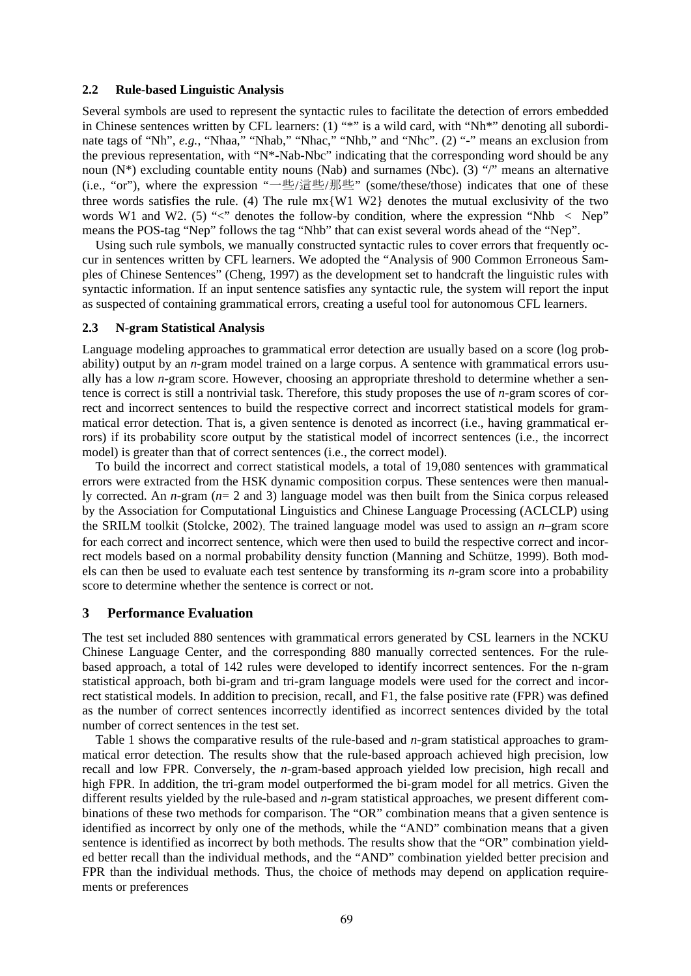### **2.2 Rule-based Linguistic Analysis**

Several symbols are used to represent the syntactic rules to facilitate the detection of errors embedded in Chinese sentences written by CFL learners: (1) "\*" is a wild card, with "Nh\*" denoting all subordinate tags of "Nh", e.g., "Nhaa," "Nhab," "Nhac," "Nhb," and "Nhc". (2) "-" means an exclusion from the previous representation, with "N\*-Nab-Nbc" indicating that the corresponding word should be any noun  $(N^*)$  excluding countable entity nouns (Nab) and surnames (Nbc). (3) "/" means an alternative (i.e., "or"), where the expression "一些/這些/那些" (some/these/those) indicates that one of these three words satisfies the rule. (4) The rule  $mx\{W1 W2\}$  denotes the mutual exclusivity of the two words W1 and W2. (5) " $\lt$ " denotes the follow-by condition, where the expression "Nhb  $\lt$  Nep" means the POS-tag "Nep" follows the tag "Nhb" that can exist several words ahead of the "Nep".

Using such rule symbols, we manually constructed syntactic rules to cover errors that frequently occur in sentences written by CFL learners. We adopted the "Analysis of 900 Common Erroneous Samples of Chinese Sentences" (Cheng, 1997) as the development set to handcraft the linguistic rules with syntactic information. If an input sentence satisfies any syntactic rule, the system will report the input as suspected of containing grammatical errors, creating a useful tool for autonomous CFL learners.

#### **2.3 N-gram Statistical Analysis**

Language modeling approaches to grammatical error detection are usually based on a score (log probability) output by an *n*-gram model trained on a large corpus. A sentence with grammatical errors usually has a low *n*-gram score. However, choosing an appropriate threshold to determine whether a sentence is correct is still a nontrivial task. Therefore, this study proposes the use of *n*-gram scores of correct and incorrect sentences to build the respective correct and incorrect statistical models for grammatical error detection. That is, a given sentence is denoted as incorrect (i.e., having grammatical errors) if its probability score output by the statistical model of incorrect sentences (i.e., the incorrect model) is greater than that of correct sentences (i.e., the correct model).

To build the incorrect and correct statistical models, a total of 19,080 sentences with grammatical errors were extracted from the HSK dynamic composition corpus. These sentences were then manually corrected. An *n*-gram (*n*= 2 and 3) language model was then built from the Sinica corpus released by the Association for Computational Linguistics and Chinese Language Processing (ACLCLP) using the SRILM toolkit (Stolcke, 2002). The trained language model was used to assign an *n*–gram score for each correct and incorrect sentence, which were then used to build the respective correct and incorrect models based on a normal probability density function (Manning and Schütze, 1999). Both models can then be used to evaluate each test sentence by transforming its *n*-gram score into a probability score to determine whether the sentence is correct or not.

### **3 Performance Evaluation**

The test set included 880 sentences with grammatical errors generated by CSL learners in the NCKU Chinese Language Center, and the corresponding 880 manually corrected sentences. For the rulebased approach, a total of 142 rules were developed to identify incorrect sentences. For the n-gram statistical approach, both bi-gram and tri-gram language models were used for the correct and incorrect statistical models. In addition to precision, recall, and F1, the false positive rate (FPR) was defined as the number of correct sentences incorrectly identified as incorrect sentences divided by the total number of correct sentences in the test set.

Table 1 shows the comparative results of the rule-based and *n*-gram statistical approaches to grammatical error detection. The results show that the rule-based approach achieved high precision, low recall and low FPR. Conversely, the *n*-gram-based approach yielded low precision, high recall and high FPR. In addition, the tri-gram model outperformed the bi-gram model for all metrics. Given the different results yielded by the rule-based and *n*-gram statistical approaches, we present different combinations of these two methods for comparison. The "OR" combination means that a given sentence is identified as incorrect by only one of the methods, while the "AND" combination means that a given sentence is identified as incorrect by both methods. The results show that the "OR" combination yielded better recall than the individual methods, and the "AND" combination yielded better precision and FPR than the individual methods. Thus, the choice of methods may depend on application requirements or preferences